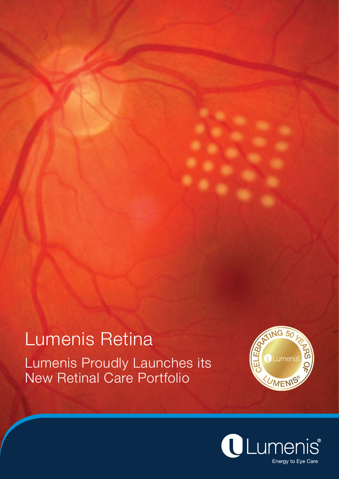## Lumenis Retina Lumenis Proudly Launches its New Retinal Care Portfolio



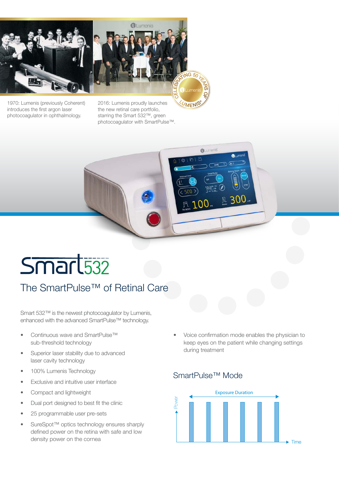



1970: Lumenis (previously Coherent) introduces the first argon laser photocoagulator in ophthalmology.

2016: Lumenis proudly launches the new retinal care portfolio, starring the Smart 532™, green photocoagulator with SmartPulse™.



# Smart<sub>532</sub>

## The SmartPulse™ of Retinal Care

Smart 532™ is the newest photocoagulator by Lumenis, enhanced with the advanced SmartPulse™ technology.

- Continuous wave and SmartPulse™ sub-threshold technology
- Superior laser stability due to advanced laser cavity technology
- 100% Lumenis Technology
- Exclusive and intuitive user interface
- Compact and lightweight
- Dual port designed to best fit the clinic
- 25 programmable user pre-sets
- SureSpot™ optics technology ensures sharply defined power on the retina with safe and low density power on the cornea

• Voice confirmation mode enables the physician to keep eyes on the patient while changing settings during treatment

### SmartPulse™ Mode

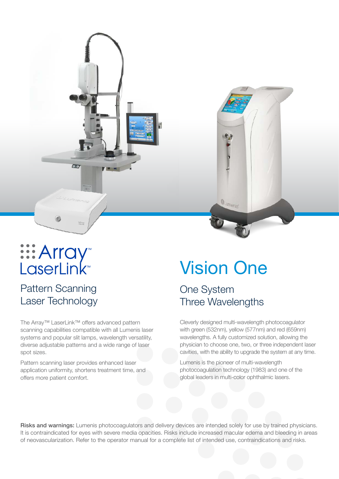

### Pattern Scanning Laser Technology

The Array™ LaserLink™ offers advanced pattern scanning capabilities compatible with all Lumenis laser systems and popular slit lamps, wavelength versatility, diverse adjustable patterns and a wide range of laser spot sizes.

Pattern scanning laser provides enhanced laser application uniformity, shortens treatment time, and offers more patient comfort.

## Vision One

OLumenis

### One System Three Wavelengths

Cleverly designed multi-wavelength photocoagulator with green (532nm), yellow (577nm) and red (659nm) wavelengths. A fully customized solution, allowing the physician to choose one, two, or three independent laser cavities, with the ability to upgrade the system at any time.

Lumenis is the pioneer of multi-wavelength photocoagulation technology (1983) and one of the global leaders in multi-color ophthalmic lasers.

Risks and warnings: Lumenis photocoagulators and delivery devices are intended solely for use by trained physicians. It is contraindicated for eyes with severe media opacities. Risks include increased macular edema and bleeding in areas of neovascularization. Refer to the operator manual for a complete list of intended use, contraindications and risks.